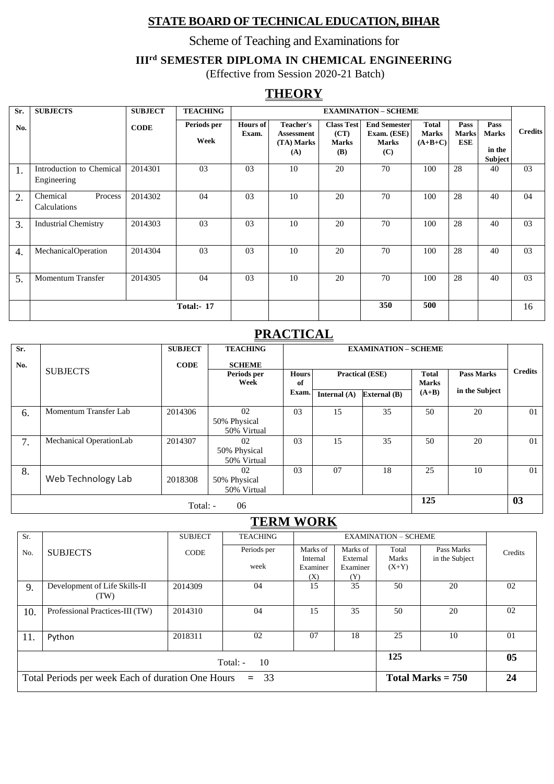### **STATE BOARD OF TECHNICAL EDUCATION, BIHAR**

Scheme of Teaching and Examinations for

#### **IIIrd SEMESTER DIPLOMA IN CHEMICAL ENGINEERING**

(Effective from Session 2020-21 Batch)

### **THEORY**

| Sr.              | <b>SUBJECTS</b>                         | <b>SUBJECT</b> | <b>TEACHING</b>     |                          |                                                     |                                                  | <b>EXAMINATION - SCHEME</b>                               |                                           |                             |                                                  |                |
|------------------|-----------------------------------------|----------------|---------------------|--------------------------|-----------------------------------------------------|--------------------------------------------------|-----------------------------------------------------------|-------------------------------------------|-----------------------------|--------------------------------------------------|----------------|
| No.              |                                         | <b>CODE</b>    | Periods per<br>Week | <b>Hours of</b><br>Exam. | <b>Teacher's</b><br>Assessment<br>(TA) Marks<br>(A) | <b>Class Test</b><br>(CT)<br><b>Marks</b><br>(B) | <b>End Semester</b><br>Exam. (ESE)<br><b>Marks</b><br>(C) | <b>Total</b><br><b>Marks</b><br>$(A+B+C)$ | Pass<br><b>Marks</b><br>ESE | Pass<br><b>Marks</b><br>in the<br><b>Subject</b> | <b>Credits</b> |
| 1.               | Introduction to Chemical<br>Engineering | 2014301        | 03                  | 03                       | 10                                                  | 20                                               | 70                                                        | 100                                       | 28                          | 40                                               | 0 <sub>3</sub> |
| 2.               | Chemical<br>Process<br>Calculations     | 2014302        | 04                  | 03                       | 10                                                  | 20                                               | 70                                                        | 100                                       | 28                          | 40                                               | 04             |
| 3.               | <b>Industrial Chemistry</b>             | 2014303        | 03                  | 03                       | 10                                                  | 20                                               | 70                                                        | 100                                       | 28                          | 40                                               | 03             |
| $\overline{4}$ . | MechanicalOperation                     | 2014304        | 03                  | 03                       | 10                                                  | 20                                               | 70                                                        | 100                                       | 28                          | 40                                               | 03             |
| 5.               | <b>Momentum Transfer</b>                | 2014305        | 04                  | 03                       | 10                                                  | 20                                               | 70                                                        | 100                                       | 28                          | 40                                               | 03             |
|                  |                                         |                | <b>Total:- 17</b>   |                          |                                                     |                                                  | 350                                                       | 500                                       |                             |                                                  | 16             |

### **PRACTICAL**

| Sr. |                         | <b>SUBJECT</b>        | <b>TEACHING</b>     |              |                | <b>EXAMINATION - SCHEME</b> |                                   |                |                |  |
|-----|-------------------------|-----------------------|---------------------|--------------|----------------|-----------------------------|-----------------------------------|----------------|----------------|--|
| No. |                         | <b>CODE</b>           | <b>SCHEME</b>       |              |                |                             |                                   |                |                |  |
|     | <b>SUBJECTS</b>         |                       | Periods per<br>Week | <b>Hours</b> |                | <b>Practical (ESE)</b>      | <b>Total</b><br><b>Pass Marks</b> |                | <b>Credits</b> |  |
|     |                         |                       |                     | of<br>Exam.  |                |                             | <b>Marks</b><br>$(A+B)$           | in the Subject |                |  |
|     |                         |                       |                     |              | Internal $(A)$ | <b>External</b> (B)         |                                   |                |                |  |
| 6.  | Momentum Transfer Lab   | 2014306               | 02                  | 03           | 15             | 35                          | 50                                | 20             | 01             |  |
|     |                         |                       | 50% Physical        |              |                |                             |                                   |                |                |  |
|     |                         |                       | 50% Virtual         |              |                |                             |                                   |                |                |  |
| 7.  | Mechanical OperationLab | 2014307               | 02                  | 03           | 15             | 35                          | 50                                | 20             | 01             |  |
|     |                         |                       | 50% Physical        |              |                |                             |                                   |                |                |  |
|     |                         |                       | 50% Virtual         |              |                |                             |                                   |                |                |  |
| 8.  |                         |                       | 02                  | 03           | 07             | 18                          | 25                                | 10             | 01             |  |
|     | Web Technology Lab      | 2018308               | 50% Physical        |              |                |                             |                                   |                |                |  |
|     |                         |                       | 50% Virtual         |              |                |                             |                                   |                |                |  |
|     |                         | $T_{\alpha \alpha 1}$ | በሬ                  |              |                |                             | 125                               |                | 03             |  |

Total: - 06

### **TERM WORK**

| Sr.                                                         |                                 | <b>SUBJECT</b> | <b>TEACHING</b> |                      |                      | <b>EXAMINATION - SCHEME</b> |                     |                |  |
|-------------------------------------------------------------|---------------------------------|----------------|-----------------|----------------------|----------------------|-----------------------------|---------------------|----------------|--|
| No.                                                         | <b>SUBJECTS</b>                 | <b>CODE</b>    | Periods per     | Marks of             | Marks of             | Total                       | Pass Marks          | Credits        |  |
|                                                             |                                 |                | week            | Internal<br>Examiner | External<br>Examiner | Marks<br>$(X+Y)$            | in the Subject      |                |  |
|                                                             |                                 |                |                 | (X)                  | (Y)                  |                             |                     |                |  |
| 9.                                                          | Development of Life Skills-II   | 2014309        | 04              | 15                   | 35                   | 50                          | 20                  | 02             |  |
|                                                             | (TW)                            |                |                 |                      |                      |                             |                     |                |  |
| 10.                                                         | Professional Practices-III (TW) | 2014310        | 04              | 15                   | 35                   | 50                          | 20                  | 02             |  |
|                                                             |                                 |                |                 |                      |                      |                             |                     |                |  |
| 11.                                                         | Python                          | 2018311        | 02              | 07                   | 18                   | 25                          | 10                  | 0 <sub>1</sub> |  |
|                                                             |                                 |                |                 |                      |                      |                             |                     | 05             |  |
| 125<br>Total: -<br>10                                       |                                 |                |                 |                      |                      |                             |                     |                |  |
| Total Periods per week Each of duration One Hours<br>$= 33$ |                                 |                |                 |                      |                      |                             | Total Marks $= 750$ |                |  |
|                                                             |                                 |                |                 |                      |                      |                             |                     |                |  |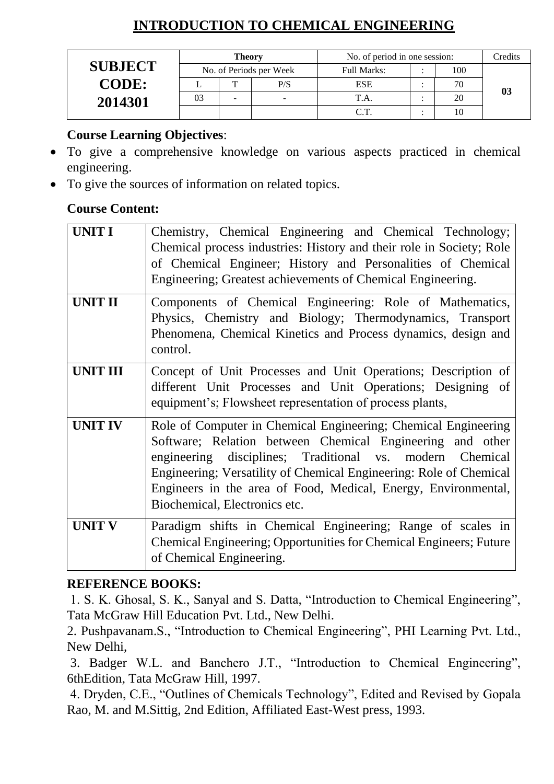### **INTRODUCTION TO CHEMICAL ENGINEERING**

|                |    | <b>Theory</b> |                         | No. of period in one session: | Credits |    |
|----------------|----|---------------|-------------------------|-------------------------------|---------|----|
| <b>SUBJECT</b> |    |               | No. of Periods per Week | <b>Full Marks:</b>            | 100     |    |
| <b>CODE:</b>   |    | m             | P/S                     | <b>ESE</b>                    |         |    |
| 2014301        | 03 | -             | ۰.                      |                               | 20      | 03 |
|                |    |               |                         | $\cap$ $\top$                 |         |    |

### **Course Learning Objectives**:

- To give a comprehensive knowledge on various aspects practiced in chemical engineering.
- To give the sources of information on related topics.

### **Course Content:**

| <b>UNIT I</b>   | Chemistry, Chemical Engineering and Chemical Technology;<br>Chemical process industries: History and their role in Society; Role<br>of Chemical Engineer; History and Personalities of Chemical<br>Engineering; Greatest achievements of Chemical Engineering.                                                                                                   |
|-----------------|------------------------------------------------------------------------------------------------------------------------------------------------------------------------------------------------------------------------------------------------------------------------------------------------------------------------------------------------------------------|
| <b>UNIT II</b>  | Components of Chemical Engineering: Role of Mathematics,<br>Physics, Chemistry and Biology; Thermodynamics, Transport<br>Phenomena, Chemical Kinetics and Process dynamics, design and<br>control.                                                                                                                                                               |
| <b>UNIT III</b> | Concept of Unit Processes and Unit Operations; Description of<br>different Unit Processes and Unit Operations; Designing of<br>equipment's; Flowsheet representation of process plants,                                                                                                                                                                          |
| <b>UNIT IV</b>  | Role of Computer in Chemical Engineering; Chemical Engineering<br>Software; Relation between Chemical Engineering and other<br>engineering disciplines; Traditional vs. modern Chemical<br>Engineering; Versatility of Chemical Engineering: Role of Chemical<br>Engineers in the area of Food, Medical, Energy, Environmental,<br>Biochemical, Electronics etc. |
| <b>UNIT V</b>   | Paradigm shifts in Chemical Engineering; Range of scales in<br>Chemical Engineering; Opportunities for Chemical Engineers; Future<br>of Chemical Engineering.                                                                                                                                                                                                    |

### **REFERENCE BOOKS:**

1. S. K. Ghosal, S. K., Sanyal and S. Datta, "Introduction to Chemical Engineering", Tata McGraw Hill Education Pvt. Ltd., New Delhi.

2. Pushpavanam.S., "Introduction to Chemical Engineering", PHI Learning Pvt. Ltd., New Delhi,

3. Badger W.L. and Banchero J.T., "Introduction to Chemical Engineering", 6thEdition, Tata McGraw Hill, 1997.

4. Dryden, C.E., "Outlines of Chemicals Technology", Edited and Revised by Gopala Rao, M. and M.Sittig, 2nd Edition, Affiliated East-West press, 1993.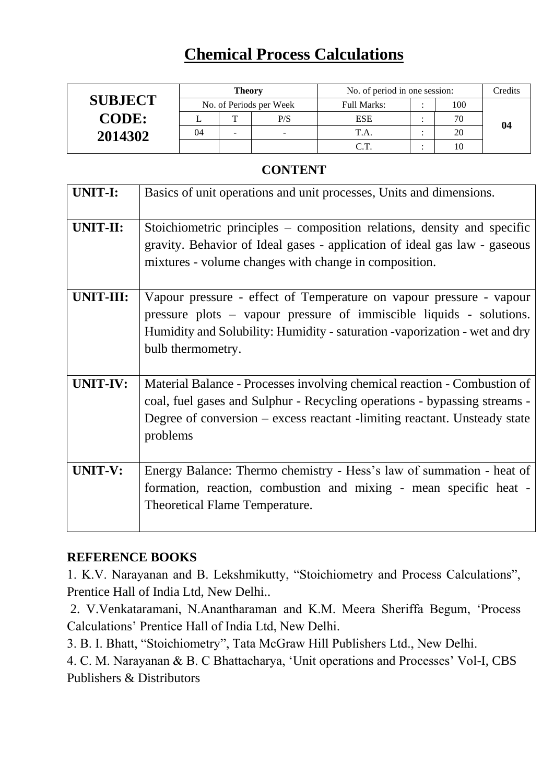## **Chemical Process Calculations**

|                |    | <b>Theory</b> |                         | No. of period in one session: | Credits |    |    |
|----------------|----|---------------|-------------------------|-------------------------------|---------|----|----|
| <b>SUBJECT</b> |    |               | No. of Periods per Week | Full Marks:                   |         |    |    |
| <b>CODE:</b>   |    | m             | P/S                     | <b>ESE</b>                    |         |    | 04 |
| 2014302        | 04 |               |                         |                               |         | 20 |    |
|                |    |               |                         | $\sim$ $\sim$                 |         |    |    |

#### **CONTENT**

| <b>UNIT-I:</b> | Basics of unit operations and unit processes, Units and dimensions.                                                                                                                                                                            |
|----------------|------------------------------------------------------------------------------------------------------------------------------------------------------------------------------------------------------------------------------------------------|
| UNIT-II:       | Stoichiometric principles – composition relations, density and specific<br>gravity. Behavior of Ideal gases - application of ideal gas law - gaseous<br>mixtures - volume changes with change in composition.                                  |
| UNIT-III:      | Vapour pressure - effect of Temperature on vapour pressure - vapour<br>pressure plots – vapour pressure of immiscible liquids - solutions.<br>Humidity and Solubility: Humidity - saturation - vaporization - wet and dry<br>bulb thermometry. |
| UNIT-IV:       | Material Balance - Processes involving chemical reaction - Combustion of<br>coal, fuel gases and Sulphur - Recycling operations - bypassing streams -<br>Degree of conversion – excess reactant -limiting reactant. Unsteady state<br>problems |
| <b>UNIT-V:</b> | Energy Balance: Thermo chemistry - Hess's law of summation - heat of<br>formation, reaction, combustion and mixing - mean specific heat -<br><b>Theoretical Flame Temperature.</b>                                                             |

#### **REFERENCE BOOKS**

1. K.V. Narayanan and B. Lekshmikutty, "Stoichiometry and Process Calculations", Prentice Hall of India Ltd, New Delhi..

2. V.Venkataramani, N.Anantharaman and K.M. Meera Sheriffa Begum, 'Process Calculations' Prentice Hall of India Ltd, New Delhi.

3. B. I. Bhatt, "Stoichiometry", Tata McGraw Hill Publishers Ltd., New Delhi.

4. C. M. Narayanan & B. C Bhattacharya, 'Unit operations and Processes' Vol-I, CBS Publishers & Distributors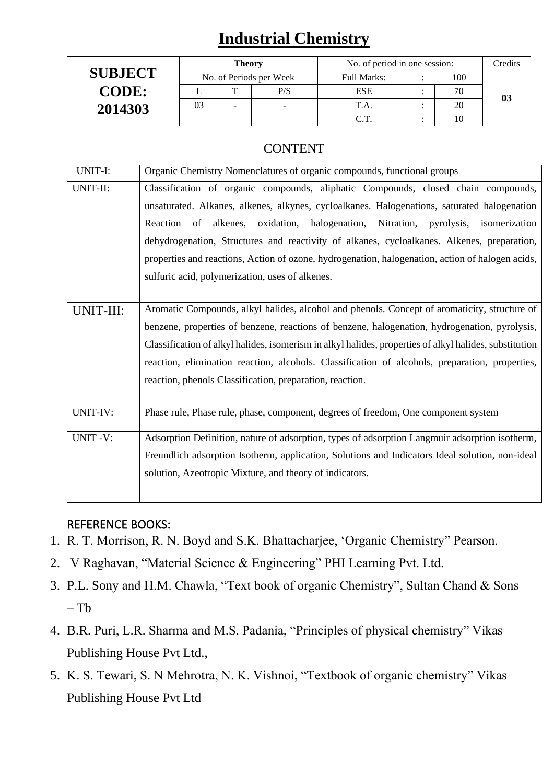## **Industrial Chemistry**

|                | <b>Theory</b> |   |                         | No. of period in one session: | Credits |    |    |
|----------------|---------------|---|-------------------------|-------------------------------|---------|----|----|
| <b>SUBJECT</b> |               |   | No. of Periods per Week | <b>Full Marks:</b>            |         |    |    |
| <b>CODE:</b>   |               | m | P/S                     | <b>ESE</b>                    |         | 70 |    |
| 2014303        | 03            | - | -                       |                               |         | 20 | 03 |
|                |               |   |                         | $\cap$ T                      |         |    |    |

### **CONTENT**

| UNIT-I:   | Organic Chemistry Nomenclatures of organic compounds, functional groups                                |
|-----------|--------------------------------------------------------------------------------------------------------|
| UNIT-II:  | Classification of organic compounds, aliphatic Compounds, closed chain compounds,                      |
|           | unsaturated. Alkanes, alkenes, alkynes, cycloalkanes. Halogenations, saturated halogenation            |
|           | oxidation, halogenation, Nitration, pyrolysis, isomerization<br>Reaction of alkenes,                   |
|           | dehydrogenation, Structures and reactivity of alkanes, cycloalkanes. Alkenes, preparation,             |
|           | properties and reactions, Action of ozone, hydrogenation, halogenation, action of halogen acids,       |
|           | sulfuric acid, polymerization, uses of alkenes.                                                        |
|           |                                                                                                        |
| UNIT-III: | Aromatic Compounds, alkyl halides, alcohol and phenols. Concept of aromaticity, structure of           |
|           | benzene, properties of benzene, reactions of benzene, halogenation, hydrogenation, pyrolysis,          |
|           | Classification of alkyl halides, isomerism in alkyl halides, properties of alkyl halides, substitution |
|           | reaction, elimination reaction, alcohols. Classification of alcohols, preparation, properties,         |
|           | reaction, phenols Classification, preparation, reaction.                                               |
|           |                                                                                                        |
| UNIT-IV:  | Phase rule, Phase rule, phase, component, degrees of freedom, One component system                     |
| UNIT-V:   | Adsorption Definition, nature of adsorption, types of adsorption Langmuir adsorption isotherm,         |
|           | Freundlich adsorption Isotherm, application, Solutions and Indicators Ideal solution, non-ideal        |
|           | solution, Azeotropic Mixture, and theory of indicators.                                                |
|           |                                                                                                        |
|           |                                                                                                        |

#### REFERENCE BOOKS:

- 1. R. T. Morrison, R. N. Boyd and S.K. Bhattacharjee, 'Organic Chemistry" Pearson.
- 2. V Raghavan, "Material Science & Engineering" PHI Learning Pvt. Ltd.
- 3. P.L. Sony and H.M. Chawla, "Text book of organic Chemistry", Sultan Chand & Sons  $-$  Tb
- 4. B.R. Puri, L.R. Sharma and M.S. Padania, "Principles of physical chemistry" Vikas Publishing House Pvt Ltd.,
- 5. K. S. Tewari, S. N Mehrotra, N. K. Vishnoi, "Textbook of organic chemistry" Vikas Publishing House Pvt Ltd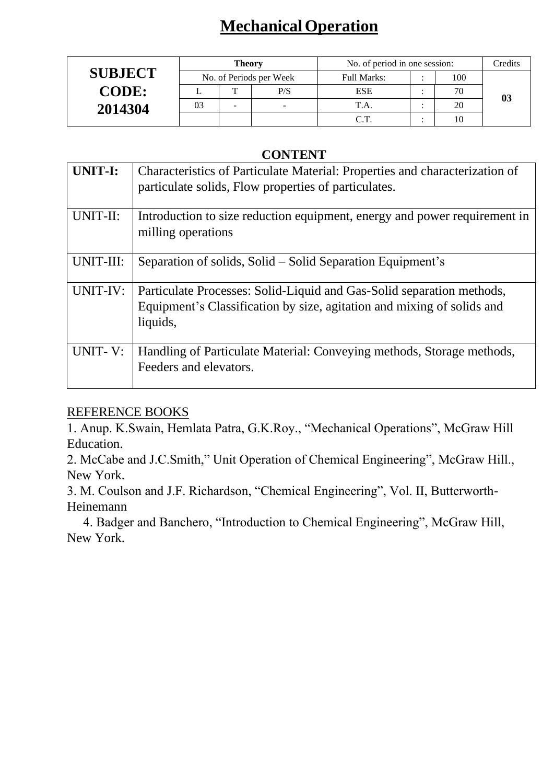# **MechanicalOperation**

|                |    | <b>Theory</b> |                          | No. of period in one session: | Credits |    |  |
|----------------|----|---------------|--------------------------|-------------------------------|---------|----|--|
| <b>SUBJECT</b> |    |               | No. of Periods per Week  | Full Marks:                   |         |    |  |
| <b>CODE:</b>   |    | Ē             | P/S                      | <b>ESE</b>                    |         |    |  |
| 2014304        | 03 | -             | $\overline{\phantom{0}}$ | T.A.                          |         | 20 |  |
|                |    |               |                          |                               |         |    |  |

#### **CONTENT**

| <b>UNIT-I:</b> | Characteristics of Particulate Material: Properties and characterization of<br>particulate solids, Flow properties of particulates.                         |
|----------------|-------------------------------------------------------------------------------------------------------------------------------------------------------------|
| UNIT-II:       | Introduction to size reduction equipment, energy and power requirement in<br>milling operations                                                             |
| UNIT-III:      | Separation of solids, Solid – Solid Separation Equipment's                                                                                                  |
| UNIT-IV:       | Particulate Processes: Solid-Liquid and Gas-Solid separation methods,<br>Equipment's Classification by size, agitation and mixing of solids and<br>liquids, |
| UNIT-V:        | Handling of Particulate Material: Conveying methods, Storage methods,<br>Feeders and elevators.                                                             |

### REFERENCE BOOKS

1. Anup. K.Swain, Hemlata Patra, G.K.Roy., "Mechanical Operations", McGraw Hill Education.

2. McCabe and J.C.Smith," Unit Operation of Chemical Engineering", McGraw Hill., New York.

3. M. Coulson and J.F. Richardson, "Chemical Engineering", Vol. II, Butterworth-Heinemann

 4. Badger and Banchero, "Introduction to Chemical Engineering", McGraw Hill, New York.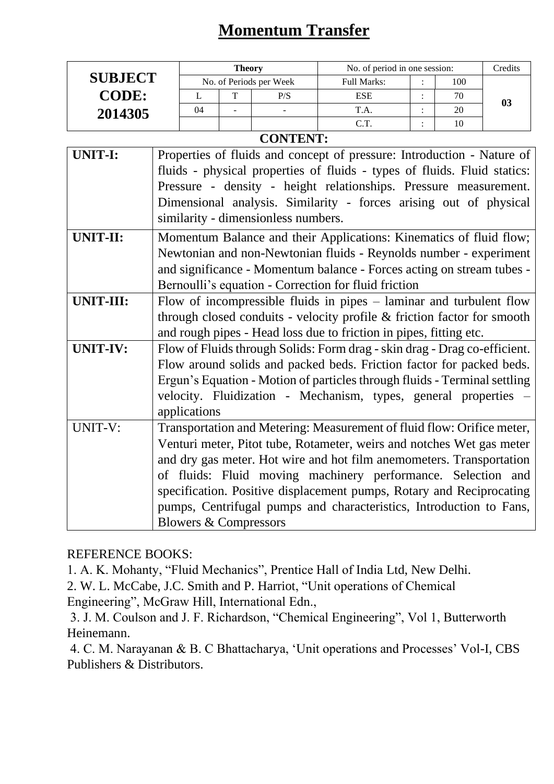## **Momentum Transfer**

|                |    | <b>Theory</b> |                         | No. of period in one session: | Credits |    |
|----------------|----|---------------|-------------------------|-------------------------------|---------|----|
| <b>SUBJECT</b> |    |               | No. of Periods per Week | <b>Full Marks:</b>            | 100     |    |
| <b>CODE:</b>   |    | $\mathbf{r}$  | P/S                     | <b>ESE</b>                    | 70      | 03 |
| 2014305        | 04 | -             | -                       |                               | 20      |    |
|                |    |               |                         |                               |         |    |

### **CONTENT:**

| Properties of fluids and concept of pressure: Introduction - Nature of    |
|---------------------------------------------------------------------------|
| fluids - physical properties of fluids - types of fluids. Fluid statics:  |
| Pressure - density - height relationships. Pressure measurement.          |
| Dimensional analysis. Similarity - forces arising out of physical         |
| similarity - dimensionless numbers.                                       |
| Momentum Balance and their Applications: Kinematics of fluid flow;        |
| Newtonian and non-Newtonian fluids - Reynolds number - experiment         |
| and significance - Momentum balance - Forces acting on stream tubes -     |
| Bernoulli's equation - Correction for fluid friction                      |
| Flow of incompressible fluids in pipes $-$ laminar and turbulent flow     |
| through closed conduits - velocity profile & friction factor for smooth   |
| and rough pipes - Head loss due to friction in pipes, fitting etc.        |
| Flow of Fluids through Solids: Form drag - skin drag - Drag co-efficient. |
| Flow around solids and packed beds. Friction factor for packed beds.      |
| Ergun's Equation - Motion of particles through fluids - Terminal settling |
| velocity. Fluidization - Mechanism, types, general properties -           |
| applications                                                              |
| Transportation and Metering: Measurement of fluid flow: Orifice meter,    |
| Venturi meter, Pitot tube, Rotameter, weirs and notches Wet gas meter     |
| and dry gas meter. Hot wire and hot film anemometers. Transportation      |
| of fluids: Fluid moving machinery performance. Selection and              |
| specification. Positive displacement pumps, Rotary and Reciprocating      |
| pumps, Centrifugal pumps and characteristics, Introduction to Fans,       |
| <b>Blowers &amp; Compressors</b>                                          |
|                                                                           |

REFERENCE BOOKS:

1. A. K. Mohanty, "Fluid Mechanics", Prentice Hall of India Ltd, New Delhi.

2. W. L. McCabe, J.C. Smith and P. Harriot, "Unit operations of Chemical

Engineering", McGraw Hill, International Edn.,

3. J. M. Coulson and J. F. Richardson, "Chemical Engineering", Vol 1, Butterworth Heinemann.

4. C. M. Narayanan & B. C Bhattacharya, 'Unit operations and Processes' Vol-I, CBS Publishers & Distributors.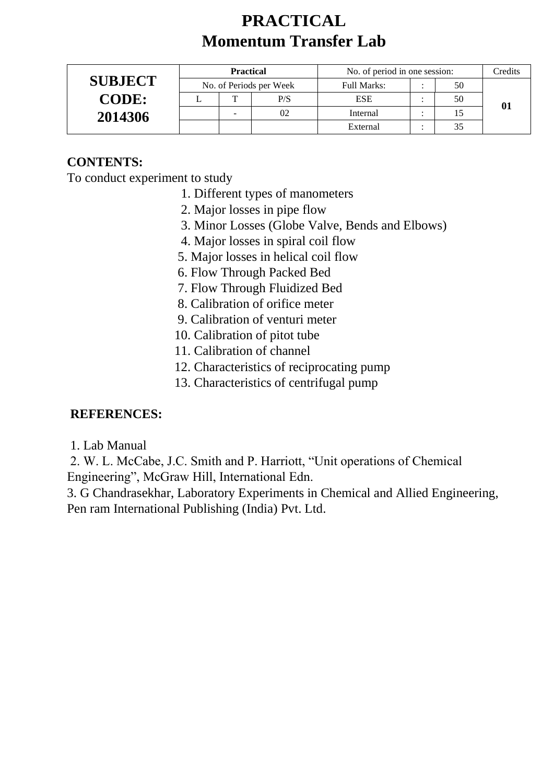## **PRACTICAL Momentum Transfer Lab**

|                | <b>Practical</b> |   |                         | No. of period in one session: | Credits |  |
|----------------|------------------|---|-------------------------|-------------------------------|---------|--|
| <b>SUBJECT</b> |                  |   | No. of Periods per Week | Full Marks:                   | 50      |  |
| <b>CODE:</b>   |                  | m | P/S                     | ESE                           | 50      |  |
| 2014306        |                  | - | 02                      | Internal                      |         |  |
|                |                  |   |                         | External                      |         |  |

### **CONTENTS:**

To conduct experiment to study

- 1. Different types of manometers
- 2. Major losses in pipe flow
- 3. Minor Losses (Globe Valve, Bends and Elbows)
- 4. Major losses in spiral coil flow
- 5. Major losses in helical coil flow
- 6. Flow Through Packed Bed
- 7. Flow Through Fluidized Bed
- 8. Calibration of orifice meter
- 9. Calibration of venturi meter
- 10. Calibration of pitot tube
- 11. Calibration of channel
- 12. Characteristics of reciprocating pump
- 13. Characteristics of centrifugal pump

### **REFERENCES:**

1. Lab Manual

2. W. L. McCabe, J.C. Smith and P. Harriott, "Unit operations of Chemical Engineering", McGraw Hill, International Edn.

3. G Chandrasekhar, Laboratory Experiments in Chemical and Allied Engineering, Pen ram International Publishing (India) Pvt. Ltd.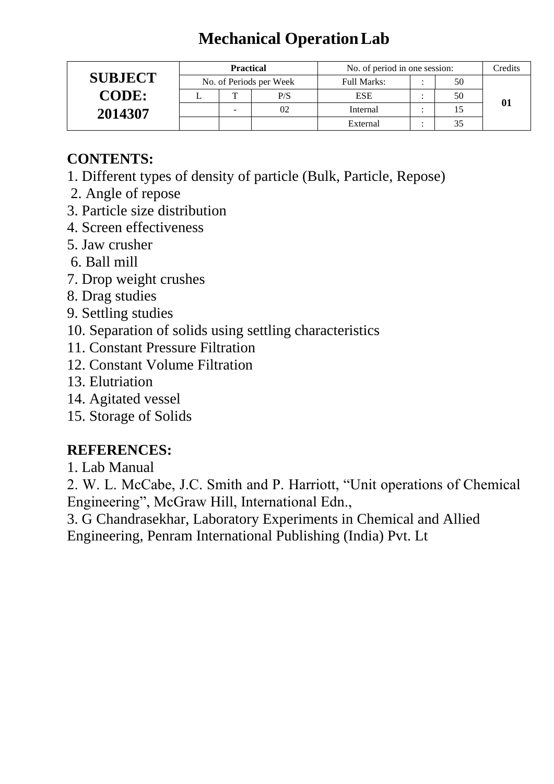# **Mechanical OperationLab**

|                | <b>Practical</b> |                         | No. of period in one session: | Credits |  |
|----------------|------------------|-------------------------|-------------------------------|---------|--|
| <b>SUBJECT</b> |                  | No. of Periods per Week | <b>Full Marks:</b>            | 50      |  |
| <b>CODE:</b>   | ௱                | P/S                     | <b>ESE</b>                    | 50      |  |
| 2014307        | -                | 02                      | Internal                      |         |  |
|                |                  |                         | External                      |         |  |

### **CONTENTS:**

- 1. Different types of density of particle (Bulk, Particle, Repose)
- 2. Angle of repose
- 3. Particle size distribution
- 4. Screen effectiveness
- 5. Jaw crusher
- 6. Ball mill
- 7. Drop weight crushes
- 8. Drag studies
- 9. Settling studies
- 10. Separation of solids using settling characteristics
- 11. Constant Pressure Filtration
- 12. Constant Volume Filtration
- 13. Elutriation
- 14. Agitated vessel
- 15. Storage of Solids

### **REFERENCES:**

1. Lab Manual

2. W. L. McCabe, J.C. Smith and P. Harriott, "Unit operations of Chemical Engineering", McGraw Hill, International Edn.,

3. G Chandrasekhar, Laboratory Experiments in Chemical and Allied Engineering, Penram International Publishing (India) Pvt. Lt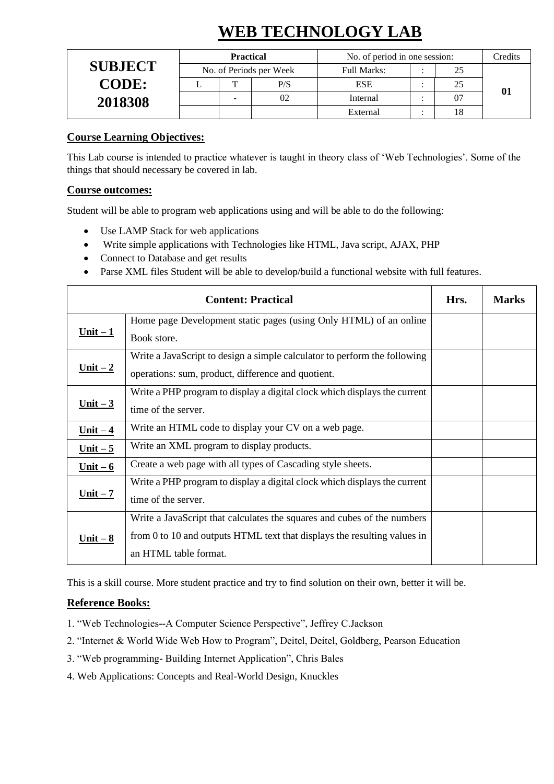# **WEB TECHNOLOGY LAB**

|                | <b>Practical</b> |                         | No. of period in one session: | Credits |  |
|----------------|------------------|-------------------------|-------------------------------|---------|--|
| <b>SUBJECT</b> |                  | No. of Periods per Week | Full Marks:                   |         |  |
| <b>CODE:</b>   |                  | P/S                     | <b>ESE</b>                    |         |  |
| 2018308        |                  | 02                      | Internal                      |         |  |
|                |                  |                         | External                      |         |  |

#### **Course Learning Objectives:**

This Lab course is intended to practice whatever is taught in theory class of 'Web Technologies'. Some of the things that should necessary be covered in lab.

#### **Course outcomes:**

Student will be able to program web applications using and will be able to do the following:

- Use LAMP Stack for web applications
- Write simple applications with Technologies like HTML, Java script, AJAX, PHP
- Connect to Database and get results
- Parse XML files Student will be able to develop/build a functional website with full features.

|                 | <b>Content: Practical</b>                                                                                                                                                    | Hrs. | <b>Marks</b> |
|-----------------|------------------------------------------------------------------------------------------------------------------------------------------------------------------------------|------|--------------|
| $Unit - 1$      | Home page Development static pages (using Only HTML) of an online<br>Book store.                                                                                             |      |              |
| $Unit - 2$      | Write a JavaScript to design a simple calculator to perform the following<br>operations: sum, product, difference and quotient.                                              |      |              |
| <u>Unit – 3</u> | Write a PHP program to display a digital clock which displays the current<br>time of the server.                                                                             |      |              |
| $Unit - 4$      | Write an HTML code to display your CV on a web page.                                                                                                                         |      |              |
| Unit $-5$       | Write an XML program to display products.                                                                                                                                    |      |              |
| $Unit - 6$      | Create a web page with all types of Cascading style sheets.                                                                                                                  |      |              |
| $Unit - 7$      | Write a PHP program to display a digital clock which displays the current<br>time of the server.                                                                             |      |              |
| $Unit - 8$      | Write a JavaScript that calculates the squares and cubes of the numbers<br>from 0 to 10 and outputs HTML text that displays the resulting values in<br>an HTML table format. |      |              |

This is a skill course. More student practice and try to find solution on their own, better it will be.

#### **Reference Books:**

- 1. "Web Technologies--A Computer Science Perspective", Jeffrey C.Jackson
- 2. "Internet & World Wide Web How to Program", Deitel, Deitel, Goldberg, Pearson Education
- 3. "Web programming- Building Internet Application", Chris Bales
- 4. Web Applications: Concepts and Real-World Design, Knuckles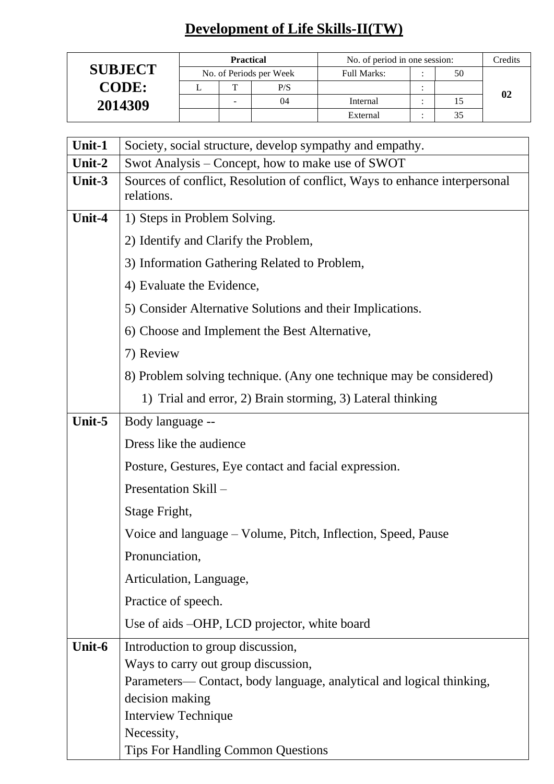## **Development of Life Skills-II(TW)**

|                | <b>Practical</b> |   |                         | No. of period in one session: | Credits |  |
|----------------|------------------|---|-------------------------|-------------------------------|---------|--|
| <b>SUBJECT</b> |                  |   | No. of Periods per Week | <b>Full Marks:</b>            | 50      |  |
| <b>CODE:</b>   |                  |   | P/S                     |                               |         |  |
| 2014309        |                  | - | 04                      | Internal                      | 15      |  |
|                |                  |   |                         | External                      |         |  |

| Unit-1 | Society, social structure, develop sympathy and empathy.                                 |
|--------|------------------------------------------------------------------------------------------|
| Unit-2 | Swot Analysis – Concept, how to make use of SWOT                                         |
| Unit-3 | Sources of conflict, Resolution of conflict, Ways to enhance interpersonal<br>relations. |
| Unit-4 | 1) Steps in Problem Solving.                                                             |
|        | 2) Identify and Clarify the Problem,                                                     |
|        | 3) Information Gathering Related to Problem,                                             |
|        | 4) Evaluate the Evidence,                                                                |
|        | 5) Consider Alternative Solutions and their Implications.                                |
|        | 6) Choose and Implement the Best Alternative,                                            |
|        | 7) Review                                                                                |
|        | 8) Problem solving technique. (Any one technique may be considered)                      |
|        | 1) Trial and error, 2) Brain storming, 3) Lateral thinking                               |
| Unit-5 | Body language --                                                                         |
|        | Dress like the audience                                                                  |
|        | Posture, Gestures, Eye contact and facial expression.                                    |
|        | Presentation Skill –                                                                     |
|        | Stage Fright,                                                                            |
|        | Voice and language – Volume, Pitch, Inflection, Speed, Pause                             |
|        | Pronunciation,                                                                           |
|        | Articulation, Language,                                                                  |
|        | Practice of speech.                                                                      |
|        | Use of aids –OHP, LCD projector, white board                                             |
| Unit-6 | Introduction to group discussion,                                                        |
|        | Ways to carry out group discussion,                                                      |
|        | Parameters—Contact, body language, analytical and logical thinking,                      |
|        | decision making                                                                          |
|        | <b>Interview Technique</b>                                                               |
|        | Necessity,                                                                               |
|        | <b>Tips For Handling Common Questions</b>                                                |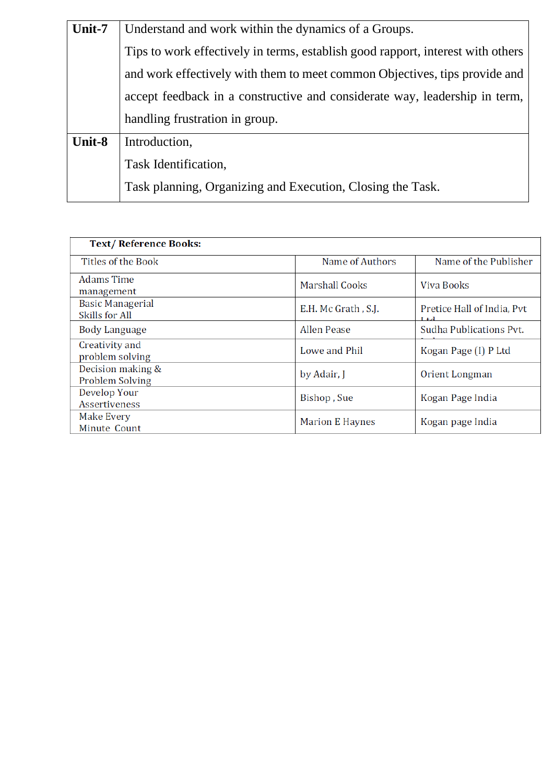| Unit-7 | Understand and work within the dynamics of a Groups.                            |
|--------|---------------------------------------------------------------------------------|
|        | Tips to work effectively in terms, establish good rapport, interest with others |
|        | and work effectively with them to meet common Objectives, tips provide and      |
|        | accept feedback in a constructive and considerate way, leadership in term,      |
|        | handling frustration in group.                                                  |
| Unit-8 | Introduction,                                                                   |
|        | Task Identification,                                                            |
|        | Task planning, Organizing and Execution, Closing the Task.                      |
|        |                                                                                 |

| <b>Text/Reference Books:</b>              |                        |                                       |
|-------------------------------------------|------------------------|---------------------------------------|
| Titles of the Book                        | Name of Authors        | Name of the Publisher                 |
| <b>Adams Time</b><br>management           | <b>Marshall Cooks</b>  | Viva Books                            |
| <b>Basic Managerial</b><br>Skills for All | E.H. Mc Grath, S.J.    | Pretice Hall of India, Pvt<br>$L + 1$ |
| <b>Body Language</b>                      | <b>Allen Pease</b>     | Sudha Publications Pvt.               |
| Creativity and<br>problem solving         | Lowe and Phil          | Kogan Page (I) P Ltd                  |
| Decision making &<br>Problem Solving      | by Adair, J            | Orient Longman                        |
| Develop Your<br><b>Assertiveness</b>      | Bishop, Sue            | Kogan Page India                      |
| Make Every<br>Minute Count                | <b>Marion E Haynes</b> | Kogan page India                      |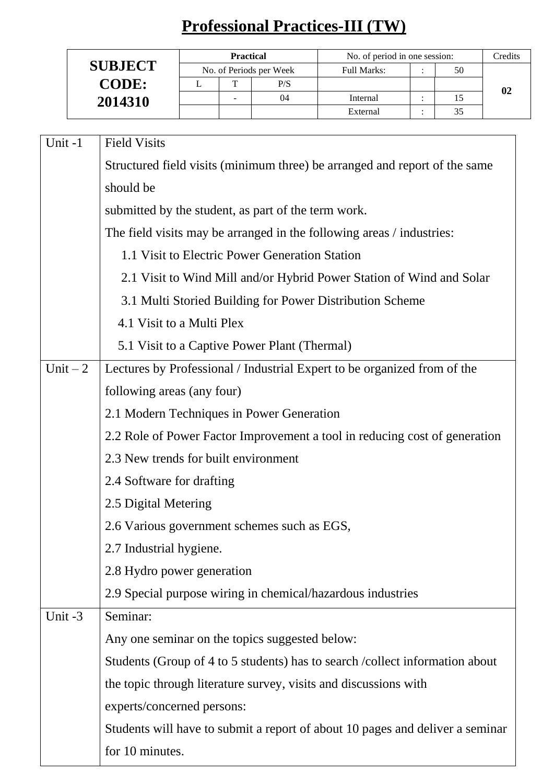# **Professional Practices-III (TW)**

|                | <b>Practical</b>         |                         | No. of period in one session: |    | Credits |
|----------------|--------------------------|-------------------------|-------------------------------|----|---------|
| <b>SUBJECT</b> |                          | No. of Periods per Week | Full Marks:                   | 50 |         |
| <b>CODE:</b>   | m                        | P/S                     |                               |    |         |
| 2014310        | $\overline{\phantom{a}}$ | 04                      | Internal                      |    |         |
|                |                          |                         | External                      | 35 |         |

| Unit-1    | <b>Field Visits</b>                                                           |
|-----------|-------------------------------------------------------------------------------|
|           | Structured field visits (minimum three) be arranged and report of the same    |
|           | should be                                                                     |
|           | submitted by the student, as part of the term work.                           |
|           | The field visits may be arranged in the following areas / industries:         |
|           | 1.1 Visit to Electric Power Generation Station                                |
|           | 2.1 Visit to Wind Mill and/or Hybrid Power Station of Wind and Solar          |
|           | 3.1 Multi Storied Building for Power Distribution Scheme                      |
|           | 4.1 Visit to a Multi Plex                                                     |
|           | 5.1 Visit to a Captive Power Plant (Thermal)                                  |
| Unit $-2$ | Lectures by Professional / Industrial Expert to be organized from of the      |
|           | following areas (any four)                                                    |
|           | 2.1 Modern Techniques in Power Generation                                     |
|           | 2.2 Role of Power Factor Improvement a tool in reducing cost of generation    |
|           | 2.3 New trends for built environment                                          |
|           | 2.4 Software for drafting                                                     |
|           | 2.5 Digital Metering                                                          |
|           | 2.6 Various government schemes such as EGS,                                   |
|           | 2.7 Industrial hygiene.                                                       |
|           | 2.8 Hydro power generation                                                    |
|           | 2.9 Special purpose wiring in chemical/hazardous industries                   |
| Unit-3    | Seminar:                                                                      |
|           | Any one seminar on the topics suggested below:                                |
|           | Students (Group of 4 to 5 students) has to search / collect information about |
|           | the topic through literature survey, visits and discussions with              |
|           | experts/concerned persons:                                                    |
|           | Students will have to submit a report of about 10 pages and deliver a seminar |
|           | for 10 minutes.                                                               |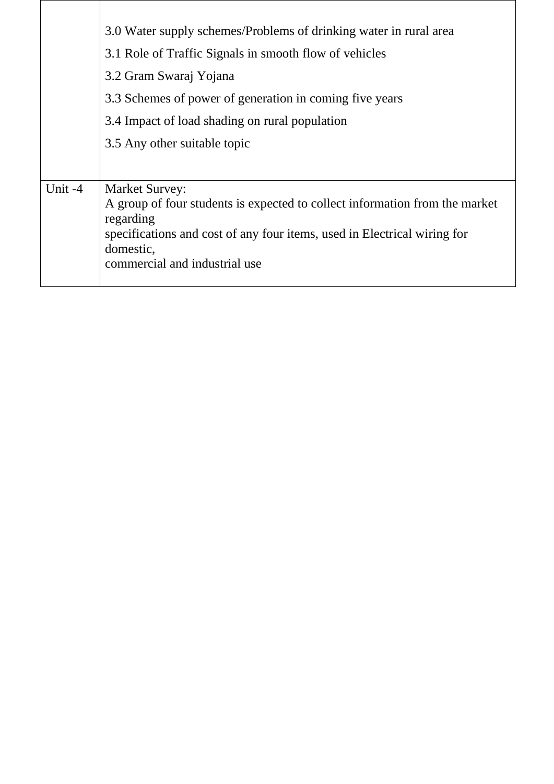| A group of four students is expected to collect information from the market |
|-----------------------------------------------------------------------------|
| specifications and cost of any four items, used in Electrical wiring for    |
|                                                                             |
|                                                                             |